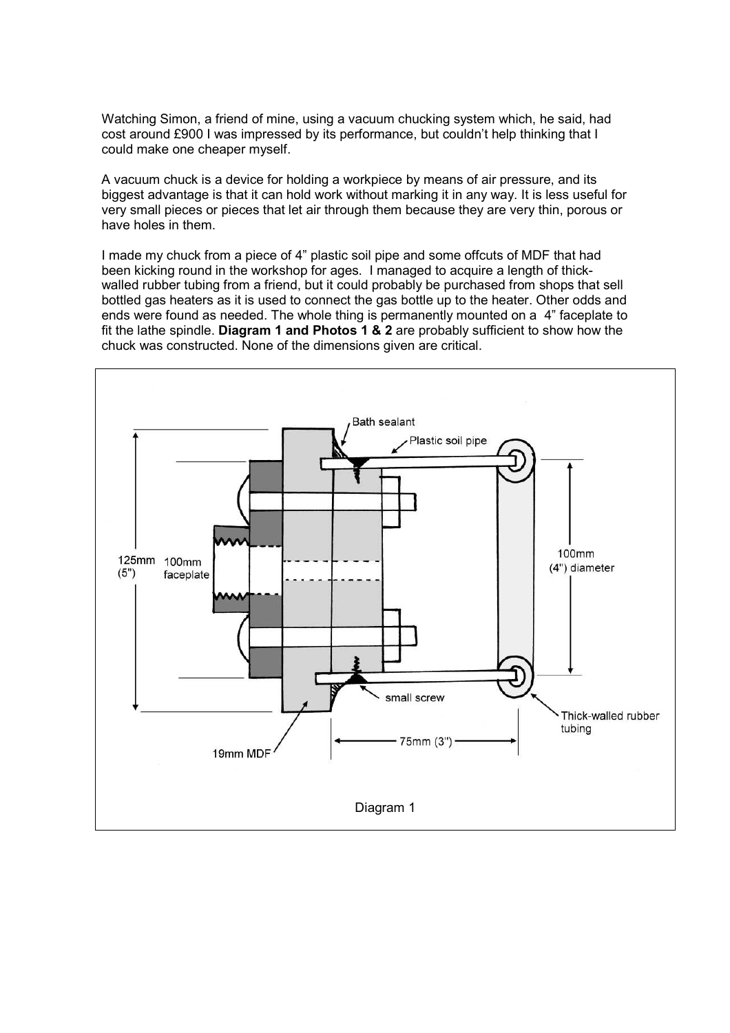Watching Simon, a friend of mine, using a vacuum chucking system which, he said, had cost around £900 I was impressed by its performance, but couldn't help thinking that I could make one cheaper myself.

A vacuum chuck is a device for holding a workpiece by means of air pressure, and its biggest advantage is that it can hold work without marking it in any way. It is less useful for very small pieces or pieces that let air through them because they are very thin, porous or have holes in them.

I made my chuck from a piece of 4" plastic soil pipe and some offcuts of MDF that had been kicking round in the workshop for ages. I managed to acquire a length of thickwalled rubber tubing from a friend, but it could probably be purchased from shops that sell bottled gas heaters as it is used to connect the gas bottle up to the heater. Other odds and ends were found as needed. The whole thing is permanently mounted on a 4" faceplate to fit the lathe spindle. Diagram 1 and Photos 1 & 2 are probably sufficient to show how the chuck was constructed. None of the dimensions given are critical.

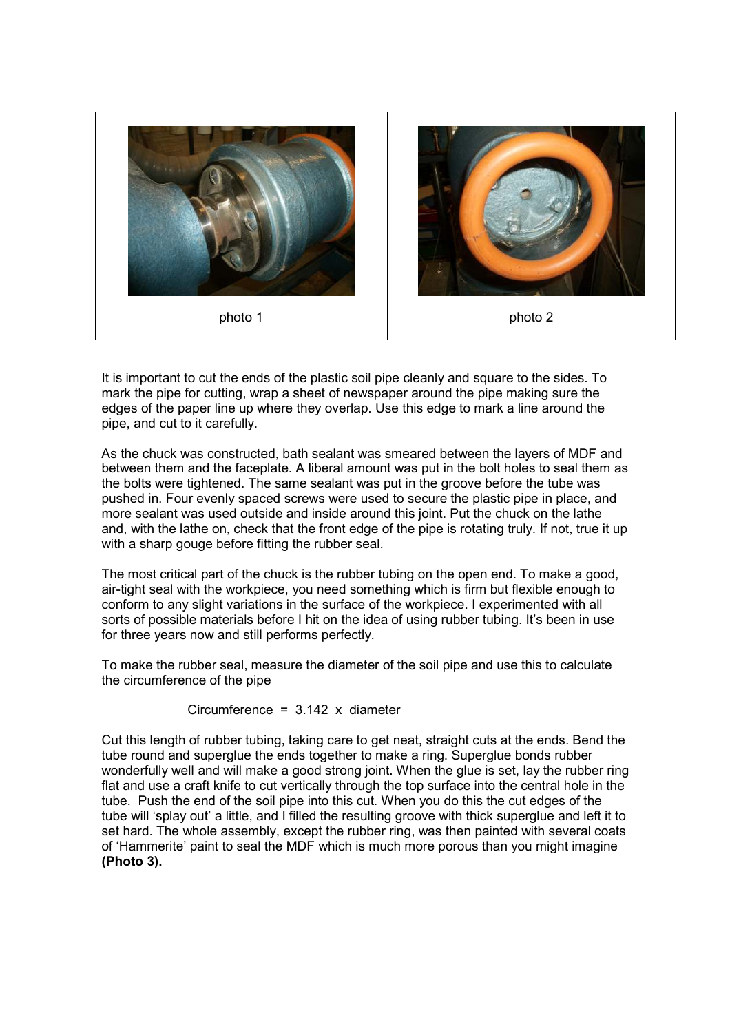

It is important to cut the ends of the plastic soil pipe cleanly and square to the sides. To mark the pipe for cutting, wrap a sheet of newspaper around the pipe making sure the edges of the paper line up where they overlap. Use this edge to mark a line around the pipe, and cut to it carefully.

As the chuck was constructed, bath sealant was smeared between the layers of MDF and between them and the faceplate. A liberal amount was put in the bolt holes to seal them as the bolts were tightened. The same sealant was put in the groove before the tube was pushed in. Four evenly spaced screws were used to secure the plastic pipe in place, and more sealant was used outside and inside around this joint. Put the chuck on the lathe and, with the lathe on, check that the front edge of the pipe is rotating truly. If not, true it up with a sharp gouge before fitting the rubber seal.

The most critical part of the chuck is the rubber tubing on the open end. To make a good, air-tight seal with the workpiece, you need something which is firm but flexible enough to conform to any slight variations in the surface of the workpiece. I experimented with all sorts of possible materials before I hit on the idea of using rubber tubing. It's been in use for three years now and still performs perfectly.

To make the rubber seal, measure the diameter of the soil pipe and use this to calculate the circumference of the pipe

## Circumference =  $3.142$  x diameter

Cut this length of rubber tubing, taking care to get neat, straight cuts at the ends. Bend the tube round and superglue the ends together to make a ring. Superglue bonds rubber wonderfully well and will make a good strong joint. When the glue is set, lay the rubber ring flat and use a craft knife to cut vertically through the top surface into the central hole in the tube. Push the end of the soil pipe into this cut. When you do this the cut edges of the tube will 'splay out' a little, and I filled the resulting groove with thick superglue and left it to set hard. The whole assembly, except the rubber ring, was then painted with several coats of 'Hammerite' paint to seal the MDF which is much more porous than you might imagine (Photo 3).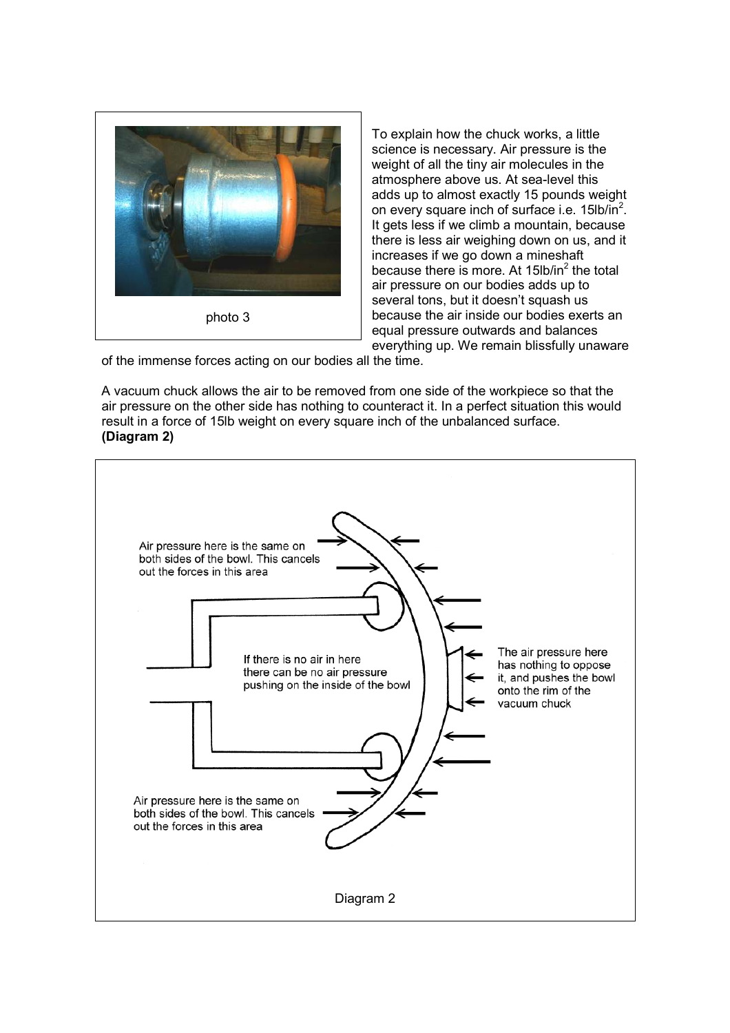

To explain how the chuck works, a little science is necessary. Air pressure is the weight of all the tiny air molecules in the atmosphere above us. At sea-level this adds up to almost exactly 15 pounds weight on every square inch of surface i.e. 15lb/in<sup>2</sup>. It gets less if we climb a mountain, because there is less air weighing down on us, and it increases if we go down a mineshaft because there is more. At 15 $b/n<sup>2</sup>$  the total air pressure on our bodies adds up to several tons, but it doesn't squash us because the air inside our bodies exerts an equal pressure outwards and balances everything up. We remain blissfully unaware

of the immense forces acting on our bodies all the time.

A vacuum chuck allows the air to be removed from one side of the workpiece so that the air pressure on the other side has nothing to counteract it. In a perfect situation this would result in a force of 15lb weight on every square inch of the unbalanced surface. (Diagram 2)

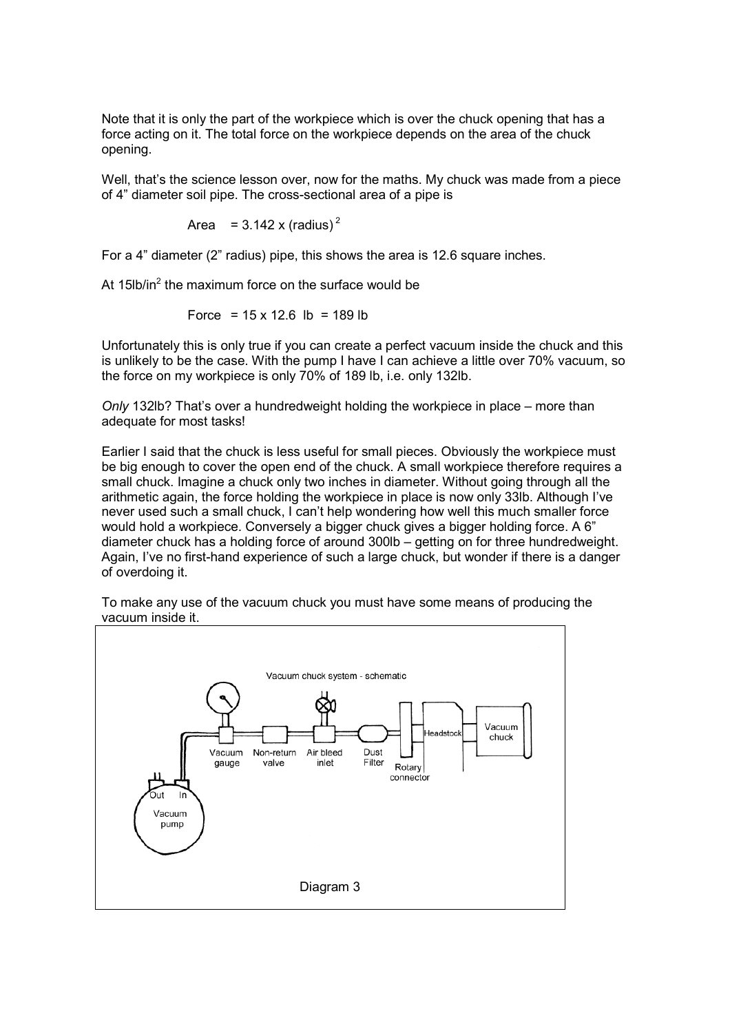Note that it is only the part of the workpiece which is over the chuck opening that has a force acting on it. The total force on the workpiece depends on the area of the chuck opening.

Well, that's the science lesson over, now for the maths. My chuck was made from a piece of 4" diameter soil pipe. The cross-sectional area of a pipe is

Area = 
$$
3.142 \times (radius)^2
$$

For a 4" diameter (2" radius) pipe, this shows the area is 12.6 square inches.

At 15lb/in<sup>2</sup> the maximum force on the surface would be

$$
Force = 15 \times 12.6 \text{ lb} = 189 \text{ lb}
$$

Unfortunately this is only true if you can create a perfect vacuum inside the chuck and this is unlikely to be the case. With the pump I have I can achieve a little over 70% vacuum, so the force on my workpiece is only 70% of 189 lb, i.e. only 132lb.

Only 132lb? That's over a hundredweight holding the workpiece in place – more than adequate for most tasks!

Earlier I said that the chuck is less useful for small pieces. Obviously the workpiece must be big enough to cover the open end of the chuck. A small workpiece therefore requires a small chuck. Imagine a chuck only two inches in diameter. Without going through all the arithmetic again, the force holding the workpiece in place is now only 33lb. Although I've never used such a small chuck, I can't help wondering how well this much smaller force would hold a workpiece. Conversely a bigger chuck gives a bigger holding force. A 6" diameter chuck has a holding force of around 300lb – getting on for three hundredweight. Again, I've no first-hand experience of such a large chuck, but wonder if there is a danger of overdoing it.



To make any use of the vacuum chuck you must have some means of producing the vacuum inside it.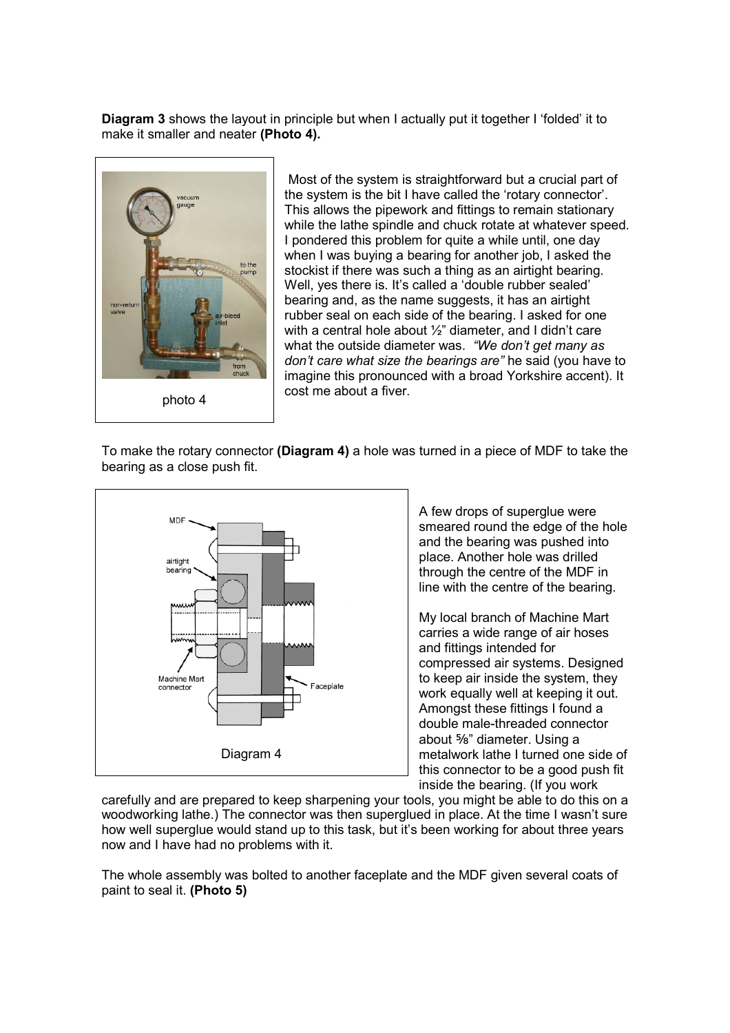Diagram 3 shows the layout in principle but when I actually put it together I 'folded' it to make it smaller and neater (Photo 4).



 Most of the system is straightforward but a crucial part of the system is the bit I have called the 'rotary connector'. This allows the pipework and fittings to remain stationary while the lathe spindle and chuck rotate at whatever speed. I pondered this problem for quite a while until, one day when I was buying a bearing for another job, I asked the stockist if there was such a thing as an airtight bearing. Well, yes there is. It's called a 'double rubber sealed' bearing and, as the name suggests, it has an airtight rubber seal on each side of the bearing. I asked for one with a central hole about 1/2" diameter, and I didn't care what the outside diameter was. "We don't get many as don't care what size the bearings are" he said (you have to imagine this pronounced with a broad Yorkshire accent). It cost me about a fiver.

To make the rotary connector (Diagram 4) a hole was turned in a piece of MDF to take the bearing as a close push fit.



A few drops of superglue were smeared round the edge of the hole and the bearing was pushed into place. Another hole was drilled through the centre of the MDF in line with the centre of the bearing.

My local branch of Machine Mart carries a wide range of air hoses and fittings intended for compressed air systems. Designed to keep air inside the system, they work equally well at keeping it out. Amongst these fittings I found a double male-threaded connector about ⅝" diameter. Using a metalwork lathe I turned one side of this connector to be a good push fit inside the bearing. (If you work

carefully and are prepared to keep sharpening your tools, you might be able to do this on a woodworking lathe.) The connector was then superglued in place. At the time I wasn't sure how well superglue would stand up to this task, but it's been working for about three years now and I have had no problems with it.

The whole assembly was bolted to another faceplate and the MDF given several coats of paint to seal it. (Photo 5)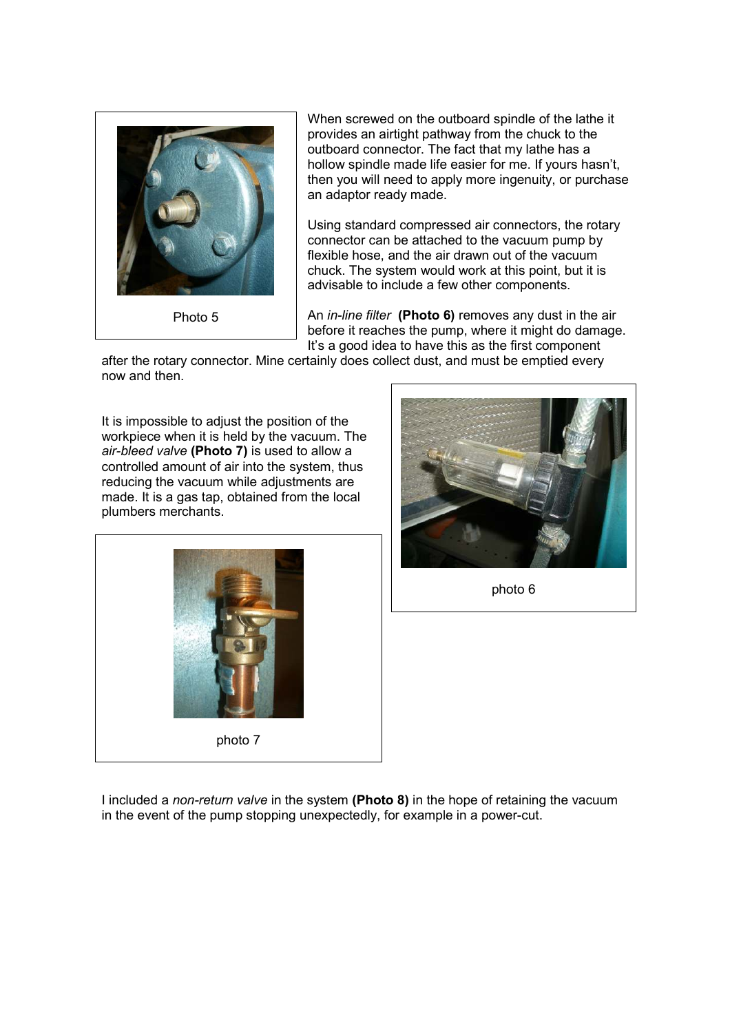

Photo 5

When screwed on the outboard spindle of the lathe it provides an airtight pathway from the chuck to the outboard connector. The fact that my lathe has a hollow spindle made life easier for me. If yours hasn't, then you will need to apply more ingenuity, or purchase an adaptor ready made.

Using standard compressed air connectors, the rotary connector can be attached to the vacuum pump by flexible hose, and the air drawn out of the vacuum chuck. The system would work at this point, but it is advisable to include a few other components.

An *in-line filter* (Photo 6) removes any dust in the air before it reaches the pump, where it might do damage. It's a good idea to have this as the first component

after the rotary connector. Mine certainly does collect dust, and must be emptied every now and then.

It is impossible to adjust the position of the workpiece when it is held by the vacuum. The air-bleed valve (Photo 7) is used to allow a controlled amount of air into the system, thus reducing the vacuum while adjustments are made. It is a gas tap, obtained from the local plumbers merchants.





photo 6

I included a non-return valve in the system (Photo 8) in the hope of retaining the vacuum in the event of the pump stopping unexpectedly, for example in a power-cut.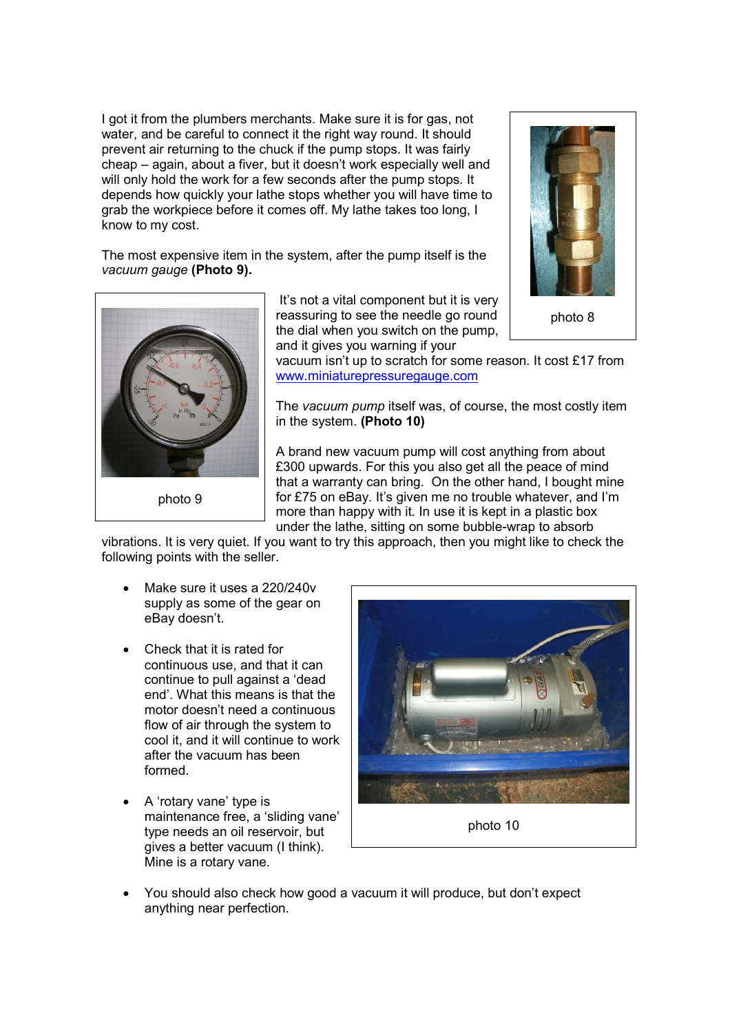I got it from the plumbers merchants. Make sure it is for gas, not water, and be careful to connect it the right way round. It should prevent air returning to the chuck if the pump stops. It was fairly cheap – again, about a fiver, but it doesn't work especially well and will only hold the work for a few seconds after the pump stops. It depends how quickly your lathe stops whether you will have time to grab the workpiece before it comes off. My lathe takes too long, I know to my cost.

The most expensive item in the system, after the pump itself is the vacuum gauge (Photo 9).



 It's not a vital component but it is very reassuring to see the needle go round the dial when you switch on the pump, and it gives you warning if your



photo 8

vacuum isn't up to scratch for some reason. It cost £17 from www.miniaturepressuregauge.com

The vacuum pump itself was, of course, the most costly item in the system. (Photo 10)

A brand new vacuum pump will cost anything from about £300 upwards. For this you also get all the peace of mind that a warranty can bring. On the other hand, I bought mine for £75 on eBay. It's given me no trouble whatever, and I'm more than happy with it. In use it is kept in a plastic box under the lathe, sitting on some bubble-wrap to absorb

vibrations. It is very quiet. If you want to try this approach, then you might like to check the following points with the seller.

- Make sure it uses a 220/240v supply as some of the gear on eBay doesn't.
- Check that it is rated for continuous use, and that it can continue to pull against a 'dead end'. What this means is that the motor doesn't need a continuous flow of air through the system to cool it, and it will continue to work after the vacuum has been formed.
- A 'rotary vane' type is maintenance free, a 'sliding vane' type needs an oil reservoir, but gives a better vacuum (I think). Mine is a rotary vane.



photo 10

• You should also check how good a vacuum it will produce, but don't expect anything near perfection.